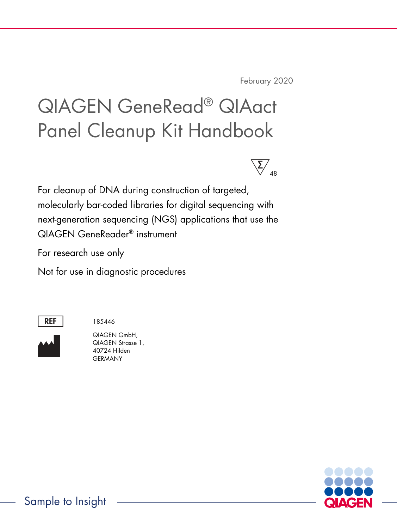February 2020

# QIAGEN GeneRead® QIAact Panel Cleanup Kit Handbook



For cleanup of DNA during construction of targeted, molecularly bar-coded libraries for digital sequencing with next-generation sequencing (NGS) applications that use the QIAGEN GeneReader® instrument

For research use only

Not for use in diagnostic procedures



185446



QIAGEN GmbH, QIAGEN Strasse 1, 40724 Hilden **GERMANY** 

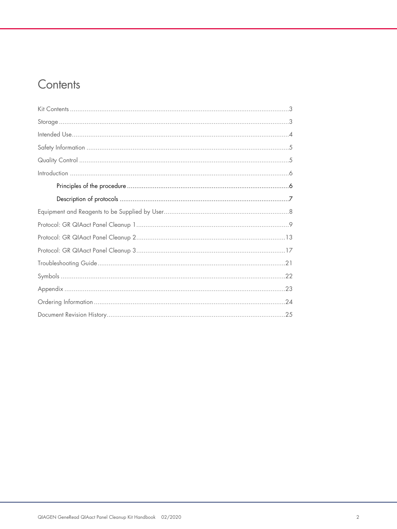### Contents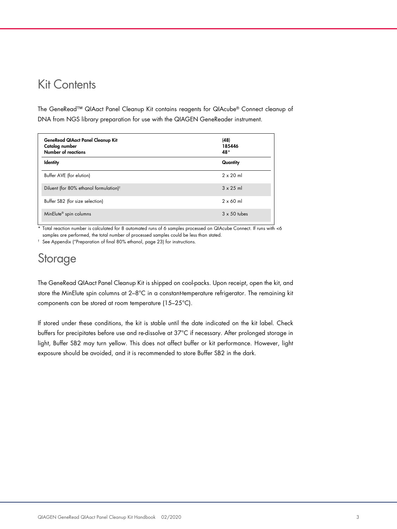### Kit Contents

The GeneRead™ QIAact Panel Cleanup Kit contains reagents for QIAcube® Connect cleanup of DNA from NGS library preparation for use with the QIAGEN GeneReader instrument.

| <b>GeneRead QIAact Panel Cleanup Kit</b><br>Catalog number<br>Number of reactions | (48)<br>185446<br>48* |
|-----------------------------------------------------------------------------------|-----------------------|
| <b>Identity</b>                                                                   | Quantity              |
| Buffer AVE (for elution)                                                          | $2 \times 20$ ml      |
| Diluent (for 80% ethanol formulation) <sup>t</sup>                                | $3 \times 25$ ml      |
| Buffer SB2 (for size selection)                                                   | $2 \times 60$ ml      |
| MinElute <sup>®</sup> spin columns                                                | $3 \times 50$ tubes   |

\* Total reaction number is calculated for 8 automated runs of 6 samples processed on QIAcube Connect. If runs with <6 samples are performed, the total number of processed samples could be less than stated.

† See Appendix ("Preparation of final 80% ethanol, page 23) for instructions.

### Storage

The GeneRead QIAact Panel Cleanup Kit is shipped on cool-packs. Upon receipt, open the kit, and store the MinElute spin columns at 2-8°C in a constant-temperature refrigerator. The remaining kit components can be stored at room temperature (15–25°C).

If stored under these conditions, the kit is stable until the date indicated on the kit label. Check buffers for precipitates before use and re-dissolve at 37°C if necessary. After prolonged storage in light, Buffer SB2 may turn yellow. This does not affect buffer or kit performance. However, light exposure should be avoided, and it is recommended to store Buffer SB2 in the dark.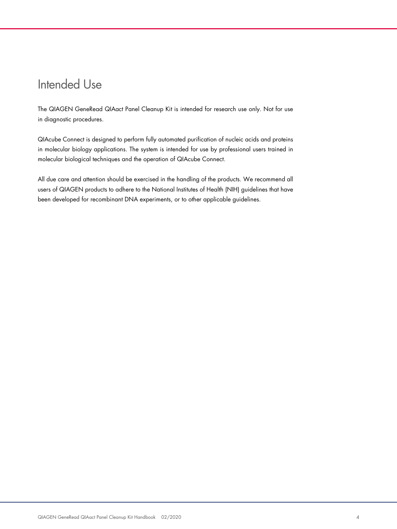### Intended Use

The QIAGEN GeneRead QIAact Panel Cleanup Kit is intended for research use only. Not for use in diagnostic procedures.

QIAcube Connect is designed to perform fully automated purification of nucleic acids and proteins in molecular biology applications. The system is intended for use by professional users trained in molecular biological techniques and the operation of QIAcube Connect.

All due care and attention should be exercised in the handling of the products. We recommend all users of QIAGEN products to adhere to the National Institutes of Health (NIH) guidelines that have been developed for recombinant DNA experiments, or to other applicable guidelines.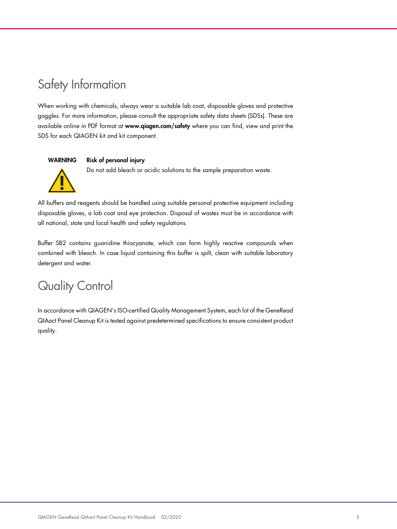# Safety Information

When working with chemicals, always wear a suitable lab coat, disposable gloves and protective goggles. For more information, please consult the appropriate safety data sheets (SDSs). These are available online in PDF format at www.qiagen.com/safety where you can find, view and print the SDS for each QIAGEN kit and kit component.

#### WARNING Risk of personal injury

Do not add bleach or acidic solutions to the sample preparation waste.



All buffers and reagents should be handled using suitable personal protective equipment including disposable gloves, a lab coat and eye protection. Disposal of wastes must be in accordance with all national, state and local health and safety regulations.

Buffer SB2 contains guanidine thiocyanate, which can form highly reactive compounds when combined with bleach. In case liquid containing this buffer is spilt, clean with suitable laboratory detergent and water.

### Quality Control

In accordance with QIAGEN's ISO-certified Quality Management System, each lot of the GeneRead QIAact Panel Cleanup Kit is tested against predetermined specifications to ensure consistent product quality.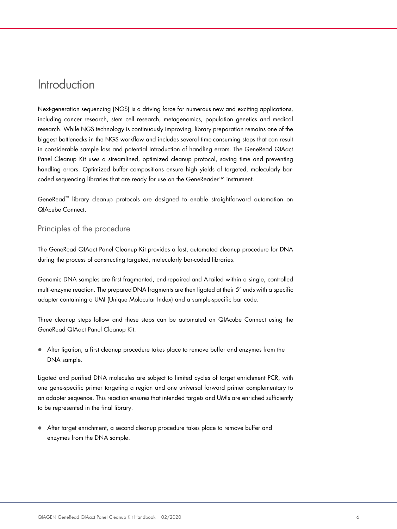#### **Introduction**

Next-generation sequencing (NGS) is a driving force for numerous new and exciting applications, including cancer research, stem cell research, metagenomics, population genetics and medical research. While NGS technology is continuously improving, library preparation remains one of the biggest bottlenecks in the NGS workflow and includes several time-consuming steps that can result in considerable sample loss and potential introduction of handling errors. The GeneRead QIAact Panel Cleanup Kit uses a streamlined, optimized cleanup protocol, saving time and preventing handling errors. Optimized buffer compositions ensure high yields of targeted, molecularly barcoded sequencing libraries that are ready for use on the GeneReader™ instrument.

GeneRead™ library cleanup protocols are designed to enable straightforward automation on QIAcube Connect.

#### Principles of the procedure

The GeneRead QIAact Panel Cleanup Kit provides a fast, automated cleanup procedure for DNA during the process of constructing targeted, molecularly bar-coded libraries.

Genomic DNA samples are first fragmented, end-repaired and A-tailed within a single, controlled multi-enzyme reaction. The prepared DNA fragments are then ligated at their 5' ends with a specific adapter containing a UMI (Unique Molecular Index) and a sample-specific bar code.

Three cleanup steps follow and these steps can be automated on QIAcube Connect using the GeneRead QIAact Panel Cleanup Kit.

 After ligation, a first cleanup procedure takes place to remove buffer and enzymes from the DNA sample.

Ligated and purified DNA molecules are subject to limited cycles of target enrichment PCR, with one gene-specific primer targeting a region and one universal forward primer complementary to an adapter sequence. This reaction ensures that intended targets and UMIs are enriched sufficiently to be represented in the final library.

 After target enrichment, a second cleanup procedure takes place to remove buffer and enzymes from the DNA sample.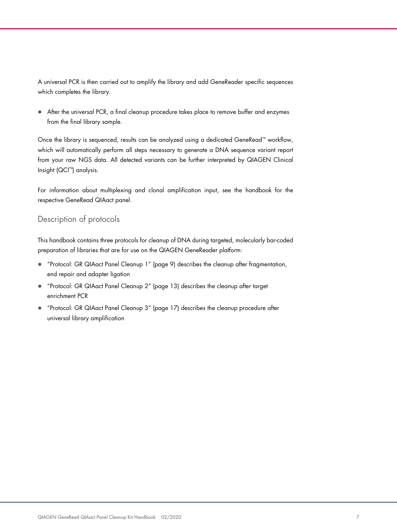A universal PCR is then carried out to amplify the library and add GeneReader specific sequences which completes the library.

 After the universal PCR, a final cleanup procedure takes place to remove buffer and enzymes from the final library sample.

Once the library is sequenced, results can be analyzed using a dedicated GeneRead™ workflow, which will automatically perform all steps necessary to generate a DNA sequence variant report from your raw NGS data. All detected variants can be further interpreted by QIAGEN Clinical Insight (QCI™) analysis.

For information about multiplexing and clonal amplification input, see the handbook for the respective GeneRead QIAact panel.

#### Description of protocols

This handbook contains three protocols for cleanup of DNA during targeted, molecularly bar-coded preparation of libraries that are for use on the QIAGEN GeneReader platform:

- "Protocol: GR QIAact Panel Cleanup 1" (page 9) describes the cleanup after fragmentation, end repair and adapter ligation
- "Protocol: GR QIAact Panel Cleanup 2" (page 13) describes the cleanup after target enrichment PCR
- "Protocol: GR QIAact Panel Cleanup 3" (page 17) describes the cleanup procedure after universal library amplification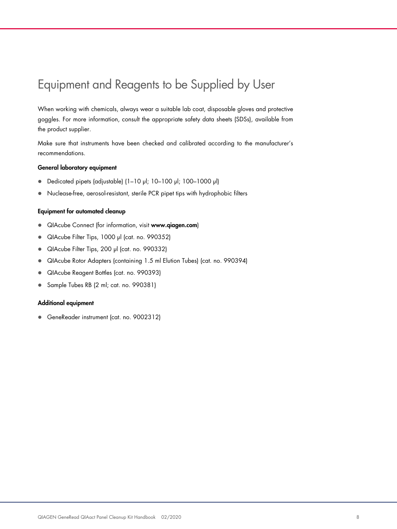## Equipment and Reagents to be Supplied by User

When working with chemicals, always wear a suitable lab coat, disposable gloves and protective goggles. For more information, consult the appropriate safety data sheets (SDSs), available from the product supplier.

Make sure that instruments have been checked and calibrated according to the manufacturer's recommendations.

#### General laboratory equipment

- Dedicated pipets (adjustable) (1–10 µl; 10–100 µl; 100–1000 µl)
- Nuclease-free, aerosol-resistant, sterile PCR pipet tips with hydrophobic filters

#### Equipment for automated cleanup

- QIAcube Connect (for information, visit www.qiagen.com)
- QIAcube Filter Tips, 1000 µl (cat. no. 990352)
- QIAcube Filter Tips, 200 µl (cat. no. 990332)
- QIAcube Rotor Adapters (containing 1.5 ml Elution Tubes) (cat. no. 990394)
- QIAcube Reagent Bottles (cat. no. 990393)
- Sample Tubes RB (2 ml; cat. no. 990381)

#### Additional equipment

GeneReader instrument (cat. no. 9002312)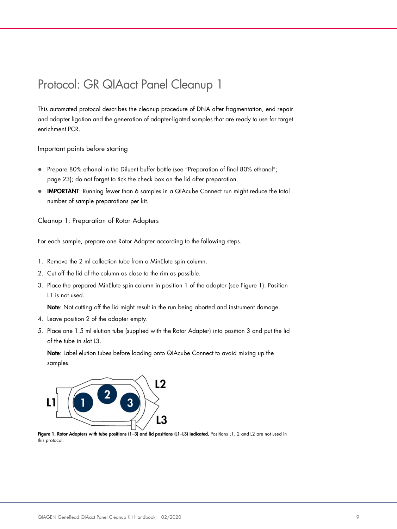### Protocol: GR QIAact Panel Cleanup 1

This automated protocol describes the cleanup procedure of DNA after fragmentation, end repair and adapter ligation and the generation of adapter-ligated samples that are ready to use for target enrichment PCR.

Important points before starting

- Prepare 80% ethanol in the Diluent buffer bottle (see "Preparation of final 80% ethanol"; page 23); do not forget to tick the check box on the lid after preparation.
- **IMPORTANT:** Running fewer than 6 samples in a QIAcube Connect run might reduce the total number of sample preparations per kit.

Cleanup 1: Preparation of Rotor Adapters

For each sample, prepare one Rotor Adapter according to the following steps.

- 1. Remove the 2 ml collection tube from a MinElute spin column.
- 2. Cut off the lid of the column as close to the rim as possible.
- 3. Place the prepared MinElute spin column in position 1 of the adapter (see Figure 1). Position L1 is not used.

Note: Not cutting off the lid might result in the run being aborted and instrument damage.

- 4. Leave position 2 of the adapter empty.
- 5. Place one 1.5 ml elution tube (supplied with the Rotor Adapter) into position 3 and put the lid of the tube in slot L3.

Note: Label elution tubes before loading onto QIAcube Connect to avoid mixing up the samples.



Figure 1. Rotor Adapters with tube positions (1-3) and lid positions (L1-L3) indicated. Positions L1, 2 and L2 are not used in this protocol.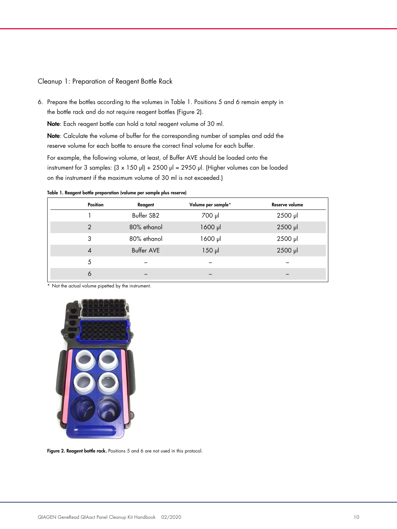#### Cleanup 1: Preparation of Reagent Bottle Rack

6. Prepare the bottles according to the volumes in Table 1. Positions 5 and 6 remain empty in the bottle rack and do not require reagent bottles (Figure 2).

Note: Each reagent bottle can hold a total reagent volume of 30 ml.

Note: Calculate the volume of buffer for the corresponding number of samples and add the reserve volume for each bottle to ensure the correct final volume for each buffer.

For example, the following volume, at least, of Buffer AVE should be loaded onto the instrument for 3 samples:  $(3 \times 150 \text{ pl}) + 2500 \text{ pl} = 2950 \text{ pl}$ . (Higher volumes can be loaded on the instrument if the maximum volume of 30 ml is not exceeded.)

Table 1. Reagent bottle preparation (volume per sample plus reserve)

| <b>Position</b> | Reagent           | Volume per sample* | Reserve volume |
|-----------------|-------------------|--------------------|----------------|
|                 | Buffer SB2        | 700 µl             | 2500 µl        |
| $\mathcal{P}$   | 80% ethanol       | 1600 µl            | 2500 µl        |
| 3               | 80% ethanol       | 1600 µl            | 2500 µl        |
| $\overline{A}$  | <b>Buffer AVE</b> | $150$ pl           | 2500 µl        |
| 5               |                   |                    |                |
| 6               |                   |                    |                |
|                 |                   |                    |                |

\* Not the actual volume pipetted by the instrument.



Figure 2. Reagent bottle rack. Positions 5 and 6 are not used in this protocol.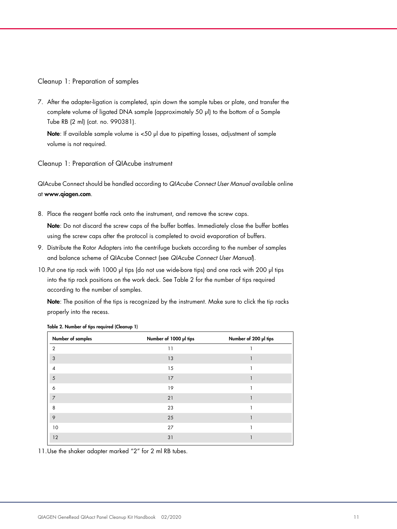Cleanup 1: Preparation of samples

7. After the adapter-ligation is completed, spin down the sample tubes or plate, and transfer the complete volume of ligated DNA sample (approximately 50 µl) to the bottom of a Sample Tube RB (2 ml) (cat. no. 990381).

Note: If available sample volume is <50 µl due to pipetting losses, adjustment of sample volume is not required.

Cleanup 1: Preparation of QIAcube instrument

QIAcube Connect should be handled according to QIAcube Connect User Manual available online at www.qiagen.com.

8. Place the reagent bottle rack onto the instrument, and remove the screw caps.

Note: Do not discard the screw caps of the buffer bottles. Immediately close the buffer bottles using the screw caps after the protocol is completed to avoid evaporation of buffers.

- 9. Distribute the Rotor Adapters into the centrifuge buckets according to the number of samples and balance scheme of QIAcube Connect (see QIAcube Connect User Manual).
- 10.Put one tip rack with 1000 µl tips (do not use wide-bore tips) and one rack with 200 µl tips into the tip rack positions on the work deck. See Table 2 for the number of tips required according to the number of samples.

Note: The position of the tips is recognized by the instrument. Make sure to click the tip racks properly into the recess.

| Number of samples | Number of 1000 µl tips | Number of 200 µl tips |
|-------------------|------------------------|-----------------------|
| $\overline{2}$    | 11                     |                       |
| 3                 | 13                     |                       |
| 4                 | 15                     |                       |
| 5                 | 17                     | 1                     |
| 6                 | 19                     |                       |
| $\overline{7}$    | 21                     |                       |
| 8                 | 23                     |                       |
| 9                 | 25                     |                       |
| 10                | 27                     |                       |
| 12                | 31                     |                       |

Table 2. Number of tips required (Cleanup 1)

11.Use the shaker adapter marked "2" for 2 ml RB tubes.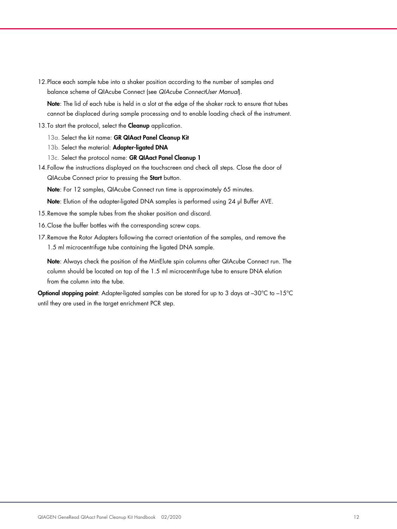12.Place each sample tube into a shaker position according to the number of samples and balance scheme of QIAcube Connect (see QIAcube ConnectUser Manual).

Note: The lid of each tube is held in a slot at the edge of the shaker rack to ensure that tubes cannot be displaced during sample processing and to enable loading check of the instrument.

13. To start the protocol, select the **Cleanup** application.

13a. Select the kit name: GR QIAact Panel Cleanup Kit

- 13b. Select the material: Adapter-ligated DNA
- 13c. Select the protocol name: GR QIAact Panel Cleanup 1
- 14.Follow the instructions displayed on the touchscreen and check all steps. Close the door of QIAcube Connect prior to pressing the Start button.

Note: For 12 samples, QIAcube Connect run time is approximately 65 minutes.

Note: Elution of the adapter-ligated DNA samples is performed using 24 µl Buffer AVE.

- 15.Remove the sample tubes from the shaker position and discard.
- 16.Close the buffer bottles with the corresponding screw caps.
- 17.Remove the Rotor Adapters following the correct orientation of the samples, and remove the 1.5 ml microcentrifuge tube containing the ligated DNA sample.

Note: Always check the position of the MinElute spin columns after QIAcube Connect run. The column should be located on top of the 1.5 ml microcentrifuge tube to ensure DNA elution from the column into the tube.

Optional stopping point: Adapter-ligated samples can be stored for up to 3 days at -30°C to -15°C until they are used in the target enrichment PCR step.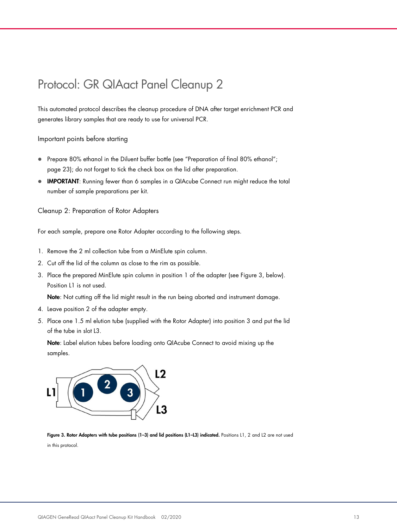### Protocol: GR QIAact Panel Cleanup 2

This automated protocol describes the cleanup procedure of DNA after target enrichment PCR and generates library samples that are ready to use for universal PCR.

Important points before starting

- Prepare 80% ethanol in the Diluent buffer bottle (see "Preparation of final 80% ethanol"; page 23); do not forget to tick the check box on the lid after preparation.
- IMPORTANT: Running fewer than 6 samples in a QIAcube Connect run might reduce the total number of sample preparations per kit.

Cleanup 2: Preparation of Rotor Adapters

For each sample, prepare one Rotor Adapter according to the following steps.

- 1. Remove the 2 ml collection tube from a MinElute spin column.
- 2. Cut off the lid of the column as close to the rim as possible.
- 3. Place the prepared MinElute spin column in position 1 of the adapter (see Figure 3, below). Position L1 is not used.

Note: Not cutting off the lid might result in the run being aborted and instrument damage.

- 4. Leave position 2 of the adapter empty.
- 5. Place one 1.5 ml elution tube (supplied with the Rotor Adapter) into position 3 and put the lid of the tube in slot L3.

Note: Label elution tubes before loading onto QIAcube Connect to avoid mixing up the samples.



Figure 3. Rotor Adapters with tube positions (1–3) and lid positions (L1–L3) indicated. Positions L1, 2 and L2 are not used in this protocol.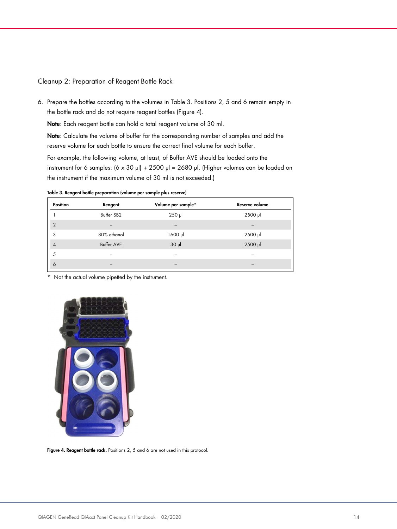#### Cleanup 2: Preparation of Reagent Bottle Rack

6. Prepare the bottles according to the volumes in Table 3. Positions 2, 5 and 6 remain empty in the bottle rack and do not require reagent bottles (Figure 4).

Note: Each reagent bottle can hold a total reagent volume of 30 ml.

Note: Calculate the volume of buffer for the corresponding number of samples and add the reserve volume for each bottle to ensure the correct final volume for each buffer.

For example, the following volume, at least, of Buffer AVE should be loaded onto the instrument for 6 samples:  $(6 \times 30 \text{ pl}) + 2500 \text{ pl} = 2680 \text{ pl}$ . (Higher volumes can be loaded on the instrument if the maximum volume of 30 ml is not exceeded.)

Table 3. Reagent bottle preparation (volume per sample plus reserve)

| Position       | Reagent           | Volume per sample* | Reserve volume |
|----------------|-------------------|--------------------|----------------|
|                | Buffer SB2        | $250$ $\mu$        | 2500 µl        |
| $\overline{2}$ |                   |                    |                |
| 3              | 80% ethanol       | $1600$ $\mu$       | $2500$ $\mu$   |
| $\overline{4}$ | <b>Buffer AVE</b> | $30$ $\mu$         | 2500 µl        |
| 5              |                   |                    |                |
| 6              |                   |                    |                |

\* Not the actual volume pipetted by the instrument.



Figure 4. Reagent bottle rack. Positions 2, 5 and 6 are not used in this protocol.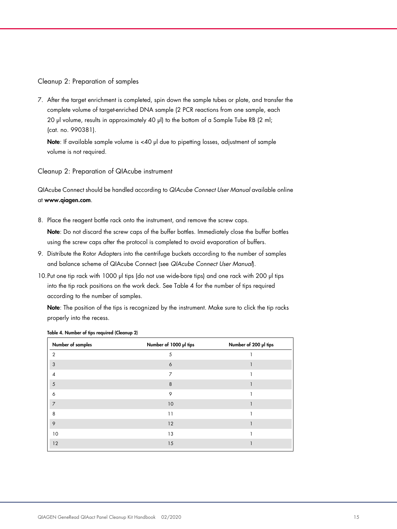#### Cleanup 2: Preparation of samples

7. After the target enrichment is completed, spin down the sample tubes or plate, and transfer the complete volume of target-enriched DNA sample (2 PCR reactions from one sample, each 20 µl volume, results in approximately 40 µl) to the bottom of a Sample Tube RB (2 ml; (cat. no. 990381).

Note: If available sample volume is <40 µl due to pipetting losses, adjustment of sample volume is not required.

#### Cleanup 2: Preparation of QIAcube instrument

QIAcube Connect should be handled according to QIAcube Connect User Manual available online at www.qiagen.com.

8. Place the reagent bottle rack onto the instrument, and remove the screw caps.

Note: Do not discard the screw caps of the buffer bottles. Immediately close the buffer bottles using the screw caps after the protocol is completed to avoid evaporation of buffers.

- 9. Distribute the Rotor Adapters into the centrifuge buckets according to the number of samples and balance scheme of QIAcube Connect (see QIAcube Connect User Manual).
- 10.Put one tip rack with 1000 µl tips (do not use wide-bore tips) and one rack with 200 µl tips into the tip rack positions on the work deck. See Table 4 for the number of tips required according to the number of samples.

Note: The position of the tips is recognized by the instrument. Make sure to click the tip racks properly into the recess.

| Number of samples | Number of 1000 µl tips | Number of 200 µl tips |
|-------------------|------------------------|-----------------------|
| $\overline{2}$    | 5                      |                       |
| 3                 | 6                      |                       |
| 4                 | 7                      |                       |
| 5                 | 8                      |                       |
| 6                 | 9                      |                       |
| $\overline{7}$    | 10                     |                       |
| 8                 | 11                     |                       |
| 9                 | 12                     |                       |
| 10                | 13                     |                       |
| 12                | 15                     |                       |

#### Table 4. Number of tips required (Cleanup 2)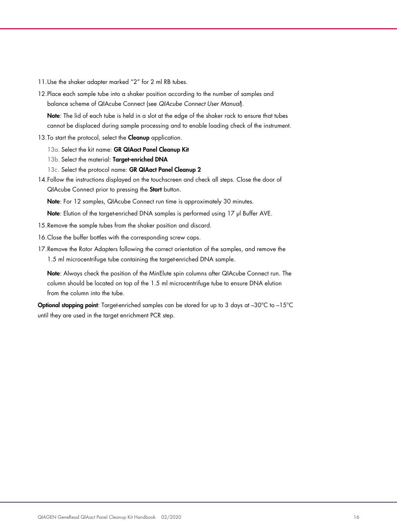- 11.Use the shaker adapter marked "2" for 2 ml RB tubes.
- 12.Place each sample tube into a shaker position according to the number of samples and balance scheme of QIAcube Connect (see QIAcube Connect User Manual).

Note: The lid of each tube is held in a slot at the edge of the shaker rack to ensure that tubes cannot be displaced during sample processing and to enable loading check of the instrument.

- 13. To start the protocol, select the **Cleanup** application.
	- 13a. Select the kit name: GR QIAact Panel Cleanup Kit
	- 13b. Select the material: Target-enriched DNA
	- 13c. Select the protocol name: GR QIAact Panel Cleanup 2
- 14.Follow the instructions displayed on the touchscreen and check all steps. Close the door of QIAcube Connect prior to pressing the Start button.

Note: For 12 samples, QIAcube Connect run time is approximately 30 minutes.

Note: Elution of the target-enriched DNA samples is performed using 17 µl Buffer AVE.

- 15.Remove the sample tubes from the shaker position and discard.
- 16.Close the buffer bottles with the corresponding screw caps.
- 17.Remove the Rotor Adapters following the correct orientation of the samples, and remove the 1.5 ml microcentrifuge tube containing the target-enriched DNA sample.

Note: Always check the position of the MinElute spin columns after QIAcube Connect run. The column should be located on top of the 1.5 ml microcentrifuge tube to ensure DNA elution from the column into the tube.

Optional stopping point: Target-enriched samples can be stored for up to 3 days at -30°C to -15°C until they are used in the target enrichment PCR step.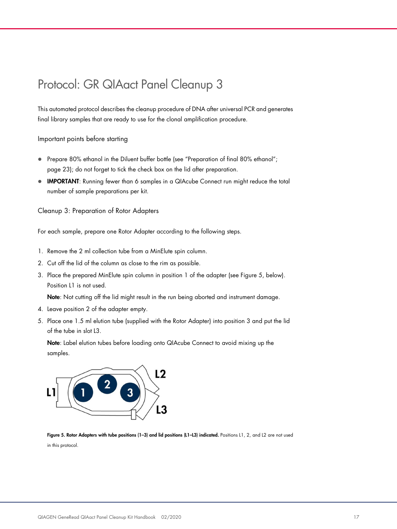### Protocol: GR QIAact Panel Cleanup 3

This automated protocol describes the cleanup procedure of DNA after universal PCR and generates final library samples that are ready to use for the clonal amplification procedure.

Important points before starting

- Prepare 80% ethanol in the Diluent buffer bottle (see "Preparation of final 80% ethanol"; page 23); do not forget to tick the check box on the lid after preparation.
- IMPORTANT: Running fewer than 6 samples in a QIAcube Connect run might reduce the total number of sample preparations per kit.

Cleanup 3: Preparation of Rotor Adapters

For each sample, prepare one Rotor Adapter according to the following steps.

- 1. Remove the 2 ml collection tube from a MinElute spin column.
- 2. Cut off the lid of the column as close to the rim as possible.
- 3. Place the prepared MinElute spin column in position 1 of the adapter (see Figure 5, below). Position L1 is not used.

Note: Not cutting off the lid might result in the run being aborted and instrument damage.

- 4. Leave position 2 of the adapter empty.
- 5. Place one 1.5 ml elution tube (supplied with the Rotor Adapter) into position 3 and put the lid of the tube in slot L3.

Note: Label elution tubes before loading onto QIAcube Connect to avoid mixing up the samples.



Figure 5. Rotor Adapters with tube positions (1–3) and lid positions (L1–L3) indicated. Positions L1, 2, and L2 are not used in this protocol.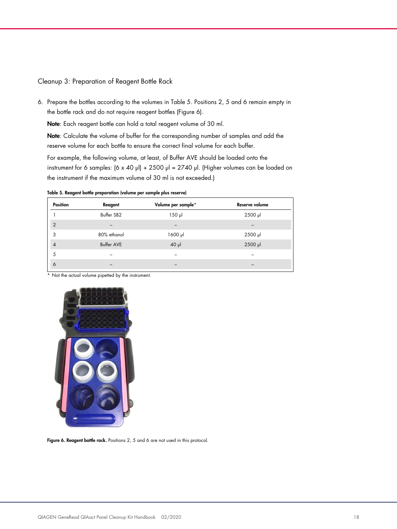#### Cleanup 3: Preparation of Reagent Bottle Rack

6. Prepare the bottles according to the volumes in Table 5. Positions 2, 5 and 6 remain empty in the bottle rack and do not require reagent bottles (Figure 6).

Note: Each reagent bottle can hold a total reagent volume of 30 ml.

Note: Calculate the volume of buffer for the corresponding number of samples and add the reserve volume for each bottle to ensure the correct final volume for each buffer.

For example, the following volume, at least, of Buffer AVE should be loaded onto the instrument for 6 samples:  $(6 \times 40 \text{ pl}) + 2500 \text{ pl} = 2740 \text{ pl}$ . (Higher volumes can be loaded on the instrument if the maximum volume of 30 ml is not exceeded.)

Table 5. Reagent bottle preparation (volume per sample plus reserve)

| <b>Position</b> | Reagent           | Volume per sample* | Reserve volume |
|-----------------|-------------------|--------------------|----------------|
|                 | Buffer SB2        | $150$ $\mu$        | 2500 µl        |
| $\overline{2}$  |                   |                    |                |
| 3               | 80% ethanol       | $1600$ $\mu$       | 2500 µl        |
| $\overline{4}$  | <b>Buffer AVE</b> | $40$ $\mu$         | 2500 µl        |
| 5               |                   |                    |                |
| 6               |                   |                    |                |
|                 |                   |                    |                |

\* Not the actual volume pipetted by the instrument.



Figure 6. Reagent bottle rack. Positions 2, 5 and 6 are not used in this protocol.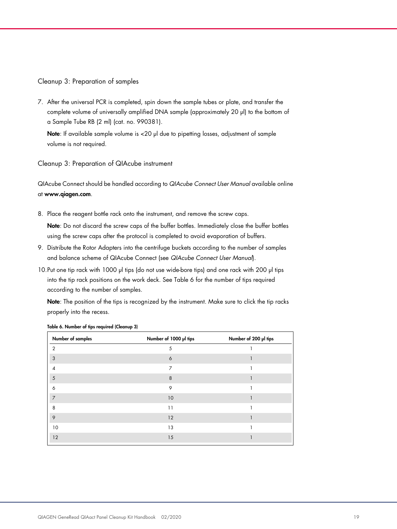Cleanup 3: Preparation of samples

7. After the universal PCR is completed, spin down the sample tubes or plate, and transfer the complete volume of universally amplified DNA sample (approximately 20 µl) to the bottom of a Sample Tube RB (2 ml) (cat. no. 990381).

Note: If available sample volume is <20 µl due to pipetting losses, adjustment of sample volume is not required.

Cleanup 3: Preparation of QIAcube instrument

QIAcube Connect should be handled according to QIAcube Connect User Manual available online at www.qiagen.com.

8. Place the reagent bottle rack onto the instrument, and remove the screw caps.

Note: Do not discard the screw caps of the buffer bottles. Immediately close the buffer bottles using the screw caps after the protocol is completed to avoid evaporation of buffers.

- 9. Distribute the Rotor Adapters into the centrifuge buckets according to the number of samples and balance scheme of QIAcube Connect (see QIAcube Connect User Manual).
- 10.Put one tip rack with 1000 µl tips (do not use wide-bore tips) and one rack with 200 µl tips into the tip rack positions on the work deck. See Table 6 for the number of tips required according to the number of samples.

Note: The position of the tips is recognized by the instrument. Make sure to click the tip racks properly into the recess.

| Number of samples | Number of 1000 µl tips | Number of 200 µl tips |
|-------------------|------------------------|-----------------------|
| $\overline{2}$    | 5                      |                       |
| 3                 | 6                      |                       |
| 4                 | $\overline{7}$         |                       |
| 5                 | 8                      |                       |
| 6                 | 9                      |                       |
| $\overline{7}$    | 10                     |                       |
| 8                 | 11                     |                       |
| 9                 | 12                     |                       |
| 10                | 13                     |                       |
| 12                | 15                     |                       |

Table 6. Number of tips required (Cleanup 3)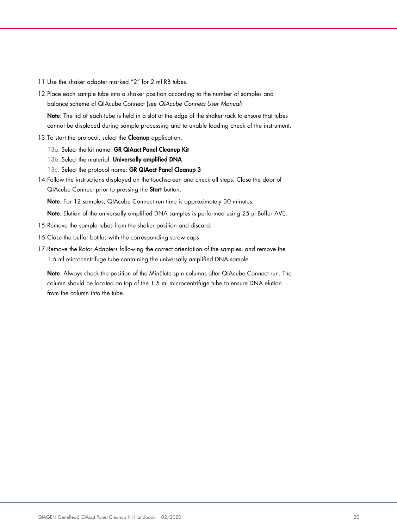- 11.Use the shaker adapter marked "2" for 2 ml RB tubes.
- 12.Place each sample tube into a shaker position according to the number of samples and balance scheme of QIAcube Connect (see QIAcube Connect User Manual).

Note: The lid of each tube is held in a slot at the edge of the shaker rack to ensure that tubes cannot be displaced during sample processing and to enable loading check of the instrument.

- 13. To start the protocol, select the **Cleanup** application.
	- 13a. Select the kit name: GR QIAact Panel Cleanup Kit
	- 13b. Select the material: Universally amplified DNA
	- 13c. Select the protocol name: GR QIAact Panel Cleanup 3
- 14.Follow the instructions displayed on the touchscreen and check all steps. Close the door of QIAcube Connect prior to pressing the Start button.

Note: For 12 samples, QIAcube Connect run time is approximately 30 minutes.

Note: Elution of the universally amplified DNA samples is performed using 25 µl Buffer AVE.

- 15.Remove the sample tubes from the shaker position and discard.
- 16.Close the buffer bottles with the corresponding screw caps.
- 17.Remove the Rotor Adapters following the correct orientation of the samples, and remove the 1.5 ml microcentrifuge tube containing the universally amplified DNA sample.

Note: Always check the position of the MinElute spin columns after QIAcube Connect run. The column should be located on top of the 1.5 ml microcentrifuge tube to ensure DNA elution from the column into the tube.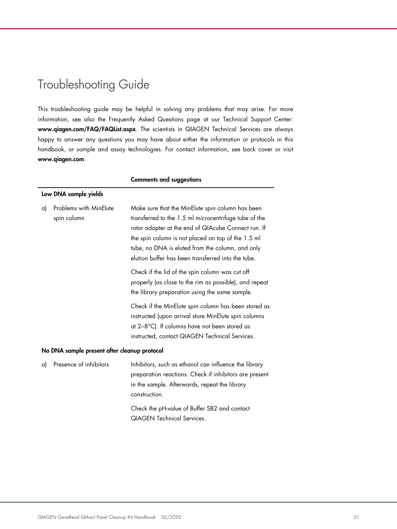## Troubleshooting Guide

This troubleshooting guide may be helpful in solving any problems that may arise. For more information, see also the Frequently Asked Questions page at our Technical Support Center: www.qiagen.com/FAQ/FAQList.aspx. The scientists in QIAGEN Technical Services are always happy to answer any questions you may have about either the information or protocols in this handbook, or sample and assay technologies. For contact information, see back cover or visit www.qiagen.com.

|    |                                              | <b>Comments and suggestions</b>                                                                                                                                                                                                                                                                                                  |  |  |
|----|----------------------------------------------|----------------------------------------------------------------------------------------------------------------------------------------------------------------------------------------------------------------------------------------------------------------------------------------------------------------------------------|--|--|
|    | Low DNA sample yields                        |                                                                                                                                                                                                                                                                                                                                  |  |  |
| a) | Problems with MinElute<br>spin column        | Make sure that the MinElute spin column has been<br>transferred to the 1.5 ml microcentrifuge tube of the<br>rotor adapter at the end of QIAcube Connect run. If<br>the spin column is not placed on top of the 1.5 ml<br>tube, no DNA is eluted from the column, and only<br>elution buffer has been transferred into the tube. |  |  |
|    |                                              | Check if the lid of the spin column was cut off<br>properly (as close to the rim as possible), and repeat<br>the library preparation using the same sample.                                                                                                                                                                      |  |  |
|    |                                              | Check if the MinElute spin column has been stored as<br>instructed (upon arrival store MinElute spin columns<br>at 2-8°C). If columns have not been stored as<br>instructed, contact QIAGEN Technical Services.                                                                                                                  |  |  |
|    | No DNA sample present after cleanup protocol |                                                                                                                                                                                                                                                                                                                                  |  |  |
| a) | Presence of inhibitors                       | Inhibitors, such as ethanol can influence the library<br>preparation reactions. Check if inhibitors are present<br>in the sample. Afterwards, repeat the library<br>construction.                                                                                                                                                |  |  |
|    |                                              | Check the pH-value of Buffer SB2 and contact<br><b>QIAGEN Technical Services.</b>                                                                                                                                                                                                                                                |  |  |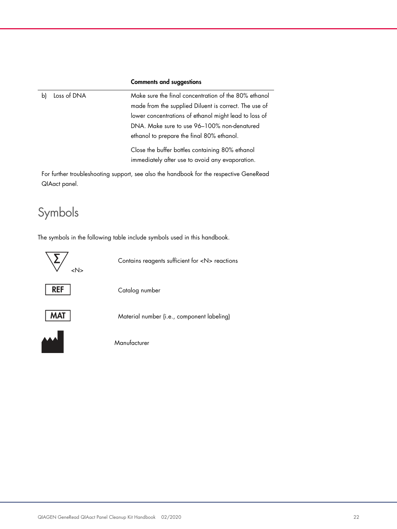#### Comments and suggestions

b) Loss of DNA Make sure the final concentration of the 80% ethanol made from the supplied Diluent is correct. The use of lower concentrations of ethanol might lead to loss of DNA. Make sure to use 96–100% non-denatured ethanol to prepare the final 80% ethanol. Close the buffer bottles containing 80% ethanol immediately after use to avoid any evaporation.

For further troubleshooting support, see also the handbook for the respective GeneRead QIAact panel.

### Symbols

The symbols in the following table include symbols used in this handbook.

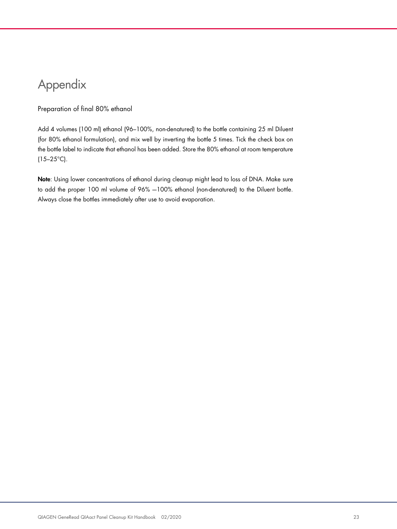# Appendix

#### Preparation of final 80% ethanol

Add 4 volumes (100 ml) ethanol (96–100%, non-denatured) to the bottle containing 25 ml Diluent (for 80% ethanol formulation), and mix well by inverting the bottle 5 times. Tick the check box on the bottle label to indicate that ethanol has been added. Store the 80% ethanol at room temperature  $(15-25^{\circ}C)$ .

Note: Using lower concentrations of ethanol during cleanup might lead to loss of DNA. Make sure to add the proper 100 ml volume of 96% -100% ethanol (non-denatured) to the Diluent bottle. Always close the bottles immediately after use to avoid evaporation.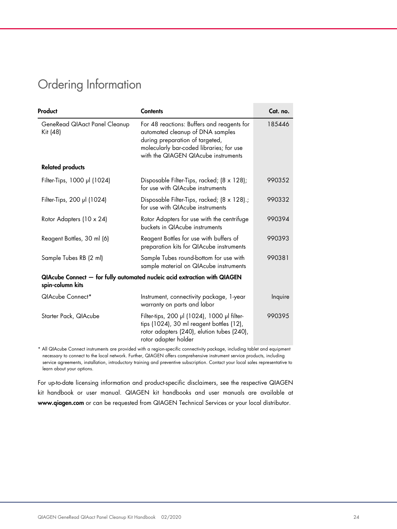### Ordering Information

| Product                                   | <b>Contents</b>                                                                                                                                                                                      | Cat. no. |
|-------------------------------------------|------------------------------------------------------------------------------------------------------------------------------------------------------------------------------------------------------|----------|
| GeneRead QIAact Panel Cleanup<br>Kit (48) | For 48 reactions: Buffers and reagents for<br>automated cleanup of DNA samples<br>during preparation of targeted,<br>molecularly bar-coded libraries; for use<br>with the QIAGEN QIAcube instruments | 185446   |
| <b>Related products</b>                   |                                                                                                                                                                                                      |          |
| Filter-Tips, 1000 µl (1024)               | Disposable Filter-Tips, racked; (8 x 128);<br>for use with QIAcube instruments                                                                                                                       | 990352   |
| Filter-Tips, 200 µl (1024)                | Disposable Filter-Tips, racked; (8 x 128).;<br>for use with QIAcube instruments                                                                                                                      | 990332   |
| Rotor Adapters (10 x 24)                  | Rotor Adapters for use with the centrifuge<br>buckets in QIAcube instruments                                                                                                                         | 990394   |
| Reagent Bottles, 30 ml (6)                | Reagent Bottles for use with buffers of<br>preparation kits for QIAcube instruments                                                                                                                  | 990393   |
| Sample Tubes RB (2 ml)                    | Sample Tubes round-bottom for use with<br>sample material on QIAcube instruments                                                                                                                     | 990381   |
| spin-column kits                          | QIAcube Connect - for fully automated nucleic acid extraction with QIAGEN                                                                                                                            |          |
| QIAcube Connect*                          | Instrument, connectivity package, 1-year<br>warranty on parts and labor                                                                                                                              | Inquire  |
| Starter Pack, QIAcube                     | Filter-tips, 200 µl (1024), 1000 µl filter-<br>tips (1024), 30 ml reagent bottles (12),<br>rotor adapters (240), elution tubes (240),<br>rotor adapter holder                                        | 990395   |

\* All QIAcube Connect instruments are provided with a region-specific connectivity package, including tablet and equipment necessary to connect to the local network. Further, QIAGEN offers comprehensive instrument service products, including service agreements, installation, introductory training and preventive subscription. Contact your local sales representative to learn about your options.

For up-to-date licensing information and product-specific disclaimers, see the respective QIAGEN kit handbook or user manual. QIAGEN kit handbooks and user manuals are available at www.qiagen.com or can be requested from QIAGEN Technical Services or your local distributor.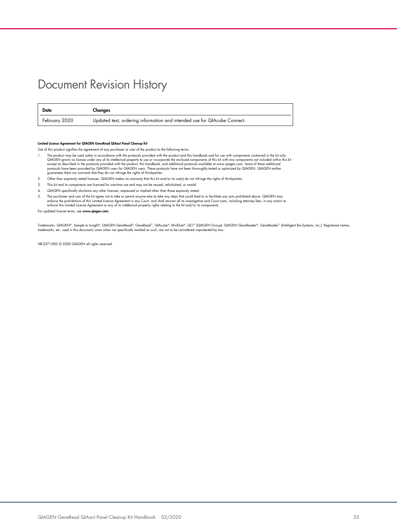### Document Revision History

| Date          | Changes                                                                  |
|---------------|--------------------------------------------------------------------------|
| February 2020 | Updated text, ordering information and intended use for QIAcube Connect. |

#### Limited License Agreement for QIAGEN GeneRead QIAact Panel Cleanup Kit

- Use of this product signifies the agreement of any purchaser or user of the product to the following terms:
- 1. The product may be used solely in accordance with the protocols provided with the product and this handbook and for use with components contineed in the ki only.<br>CalAGEN grants no license under any of its intellectual p
- 2. Other than expressly stated licenses, QIAGEN makes no warranty that this kit and/or its use(s) do not infringe the rights of third-parties.
- 3. This kit and its components are licensed for one-time use and may not be reused, refurbished, or resold.
- 4. QIAGEN specifically disclaims any other licenses, expressed or implied other than those expressly stated.
- 5. The purchaser and user of the kit agree not to take or permit anyone else to take any steps that could lead to or facilitate any acts prohibited above. QIAGEN may<br>enforce the prohibitions of this Limitled License Agreem

For updated license terms, see www.qiagen.com.

Trademarks: QIAGEN®, Sample to Insight®, QIAGEN GeneRead®, GeneRead™, QIAcube®, MinElute®, QCI™ (QIAGEN Group); QIAGEN GeneReader®, GeneReader™ (Intelligent Bio-Systems, Inc.). Registered names,<br>trademarks, etc. used in th

HB-2371-002 © 2020 QIAGEN all rights reserved.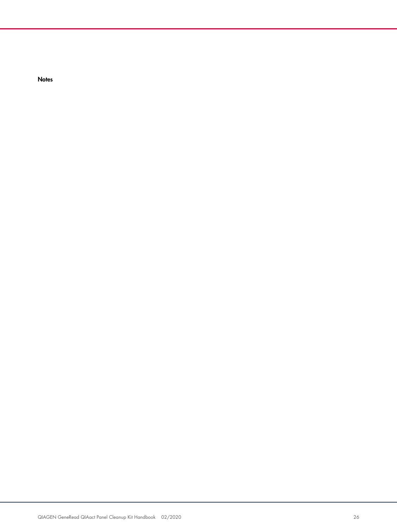**Notes**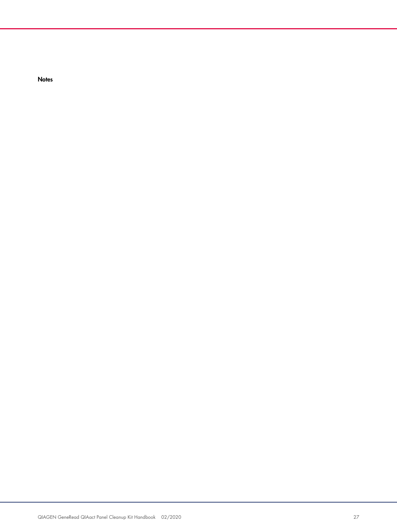**Notes**